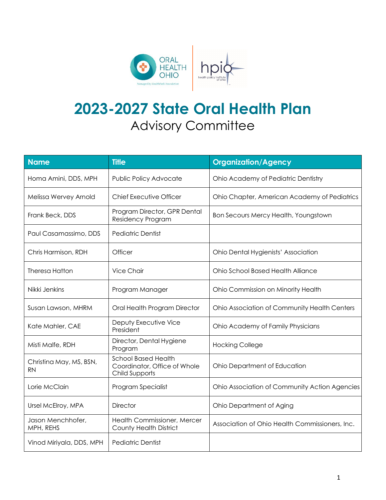

## **2023-2027 State Oral Health Plan** Advisory Committee

| <b>Name</b>                          | <b>Title</b>                                                                 | <b>Organization/Agency</b>                     |
|--------------------------------------|------------------------------------------------------------------------------|------------------------------------------------|
| Homa Amini, DDS, MPH                 | Public Policy Advocate                                                       | Ohio Academy of Pediatric Dentistry            |
| Melissa Wervey Arnold                | <b>Chief Executive Officer</b>                                               | Ohio Chapter, American Academy of Pediatrics   |
| Frank Beck, DDS                      | Program Director, GPR Dental<br>Residency Program                            | Bon Secours Mercy Health, Youngstown           |
| Paul Casamassimo, DDS                | <b>Pediatric Dentist</b>                                                     |                                                |
| Chris Harmison, RDH                  | Officer                                                                      | Ohio Dental Hygienists' Association            |
| <b>Theresa Hatton</b>                | Vice Chair                                                                   | Ohio School Based Health Alliance              |
| Nikki Jenkins                        | Program Manager                                                              | Ohio Commission on Minority Health             |
| Susan Lawson, MHRM                   | Oral Health Program Director                                                 | Ohio Association of Community Health Centers   |
| Kate Mahler, CAE                     | Deputy Executive Vice<br>President                                           | Ohio Academy of Family Physicians              |
| Misti Malfe, RDH                     | Director, Dental Hygiene<br>Program                                          | <b>Hocking College</b>                         |
| Christina May, MS, BSN,<br><b>RN</b> | <b>School Based Health</b><br>Coordinator, Office of Whole<br>Child Supports | Ohio Department of Education                   |
| Lorie McClain                        | Program Specialist                                                           | Ohio Association of Community Action Agencies  |
| Ursel McElroy, MPA                   | <b>Director</b>                                                              | Ohio Department of Aging                       |
| Jason Menchhofer,<br>MPH, REHS       | Health Commissioner, Mercer<br><b>County Health District</b>                 | Association of Ohio Health Commissioners, Inc. |
| Vinod Miriyala, DDS, MPH             | <b>Pediatric Dentist</b>                                                     |                                                |